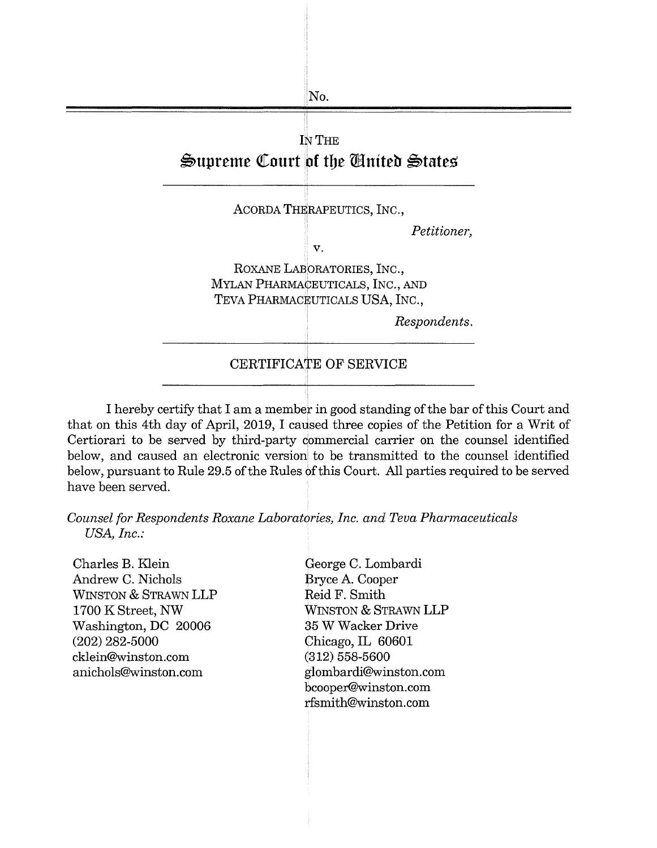

I hereby certify that I am a member in good standing of the bar of this Court and that on this 4th day of April, 2019, I caused three copies of the Petition for a Writ of Certiorari to be served by third-party commercial carrier on the counsel identified below, and caused an electronic version to be transmitted to the counsel identified below, pursuant to Rule 29.5 of the Rules of this Court. All parties required to be served have been served.

*Counsel for Respondents Roxane Laboratories, Inc. and Teva Pharmaceuticals USA, Inc.:* 

Charles B. Klein Andrew C. Nichols WINSTON & STRAWN **LLP**  1700 KStreet, **NW**  Washington, DC 20006 (202) 282-5000 cklein@winston.com anichols@winston.com

George C. Lombardi Bryce A. Cooper Reid F. Smith WINSTON & STRAWN LLP 35 W Wacker Drive Chicago, IL 60601 (312) 558-5600 glombardi@winston.com bcooper@winston.com rfsmith@winston.com